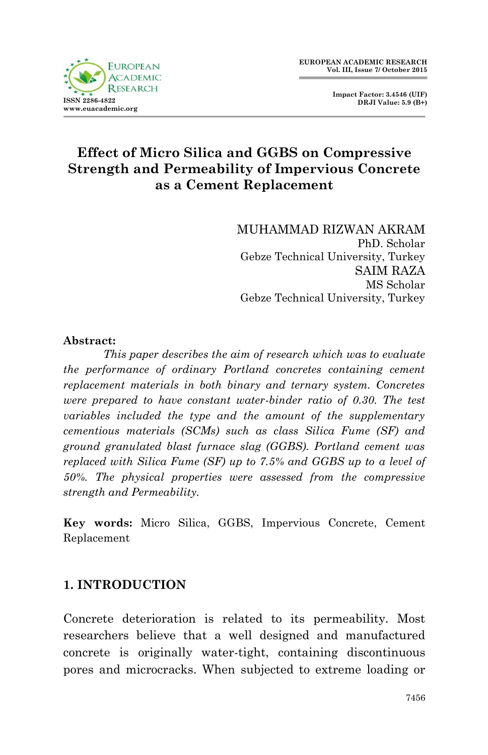

 **Impact Factor: 3.4546 (UIF) DRJI Value: 5.9 (B+)**

# **Effect of Micro Silica and GGBS on Compressive Strength and Permeability of Impervious Concrete as a Cement Replacement**

MUHAMMAD RIZWAN AKRAM PhD. Scholar Gebze Technical University, Turkey SAIM RAZA MS Scholar Gebze Technical University, Turkey

#### **Abstract:**

*This paper describes the aim of research which was to evaluate the performance of ordinary Portland concretes containing cement replacement materials in both binary and ternary system. Concretes were prepared to have constant water-binder ratio of 0.30. The test variables included the type and the amount of the supplementary cementious materials (SCMs) such as class Silica Fume (SF) and ground granulated blast furnace slag (GGBS). Portland cement was replaced with Silica Fume (SF) up to 7.5% and GGBS up to a level of 50%. The physical properties were assessed from the compressive strength and Permeability.* 

**Key words:** Micro Silica, GGBS, Impervious Concrete, Cement Replacement

### **1. INTRODUCTION**

Concrete deterioration is related to its permeability. Most researchers believe that a well designed and manufactured concrete is originally water-tight, containing discontinuous pores and microcracks. When subjected to extreme loading or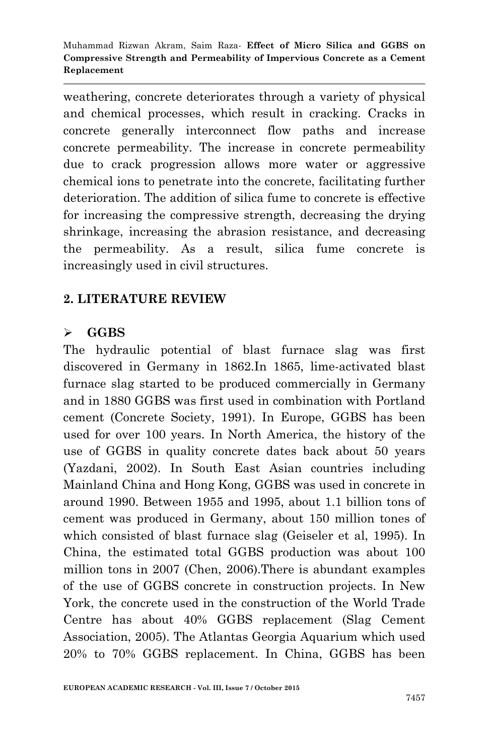weathering, concrete deteriorates through a variety of physical and chemical processes, which result in cracking. Cracks in concrete generally interconnect flow paths and increase concrete permeability. The increase in concrete permeability due to crack progression allows more water or aggressive chemical ions to penetrate into the concrete, facilitating further deterioration. The addition of silica fume to concrete is effective for increasing the compressive strength, decreasing the drying shrinkage, increasing the abrasion resistance, and decreasing the permeability. As a result, silica fume concrete is increasingly used in civil structures.

# **2. LITERATURE REVIEW**

### **GGBS**

The hydraulic potential of blast furnace slag was first discovered in Germany in 1862.In 1865, lime-activated blast furnace slag started to be produced commercially in Germany and in 1880 GGBS was first used in combination with Portland cement (Concrete Society, 1991). In Europe, GGBS has been used for over 100 years. In North America, the history of the use of GGBS in quality concrete dates back about 50 years (Yazdani, 2002). In South East Asian countries including Mainland China and Hong Kong, GGBS was used in concrete in around 1990. Between 1955 and 1995, about 1.1 billion tons of cement was produced in Germany, about 150 million tones of which consisted of blast furnace slag (Geiseler et al, 1995). In China, the estimated total GGBS production was about 100 million tons in 2007 (Chen, 2006).There is abundant examples of the use of GGBS concrete in construction projects. In New York, the concrete used in the construction of the World Trade Centre has about 40% GGBS replacement (Slag Cement Association, 2005). The Atlantas Georgia Aquarium which used 20% to 70% GGBS replacement. In China, GGBS has been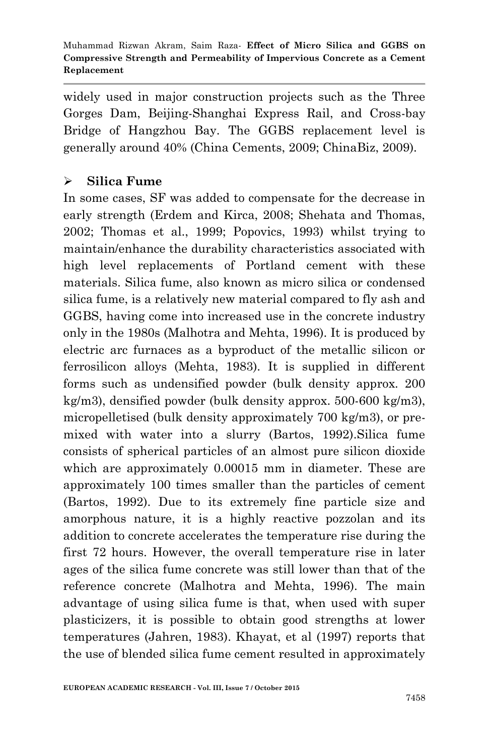widely used in major construction projects such as the Three Gorges Dam, Beijing-Shanghai Express Rail, and Cross-bay Bridge of Hangzhou Bay. The GGBS replacement level is generally around 40% (China Cements, 2009; ChinaBiz, 2009).

### **Silica Fume**

In some cases, SF was added to compensate for the decrease in early strength (Erdem and Kirca, 2008; Shehata and Thomas, 2002; Thomas et al., 1999; Popovics, 1993) whilst trying to maintain/enhance the durability characteristics associated with high level replacements of Portland cement with these materials. Silica fume, also known as micro silica or condensed silica fume, is a relatively new material compared to fly ash and GGBS, having come into increased use in the concrete industry only in the 1980s (Malhotra and Mehta, 1996). It is produced by electric arc furnaces as a byproduct of the metallic silicon or ferrosilicon alloys (Mehta, 1983). It is supplied in different forms such as undensified powder (bulk density approx. 200 kg/m3), densified powder (bulk density approx. 500-600 kg/m3), micropelletised (bulk density approximately 700 kg/m3), or premixed with water into a slurry (Bartos, 1992).Silica fume consists of spherical particles of an almost pure silicon dioxide which are approximately 0.00015 mm in diameter. These are approximately 100 times smaller than the particles of cement (Bartos, 1992). Due to its extremely fine particle size and amorphous nature, it is a highly reactive pozzolan and its addition to concrete accelerates the temperature rise during the first 72 hours. However, the overall temperature rise in later ages of the silica fume concrete was still lower than that of the reference concrete (Malhotra and Mehta, 1996). The main advantage of using silica fume is that, when used with super plasticizers, it is possible to obtain good strengths at lower temperatures (Jahren, 1983). Khayat, et al (1997) reports that the use of blended silica fume cement resulted in approximately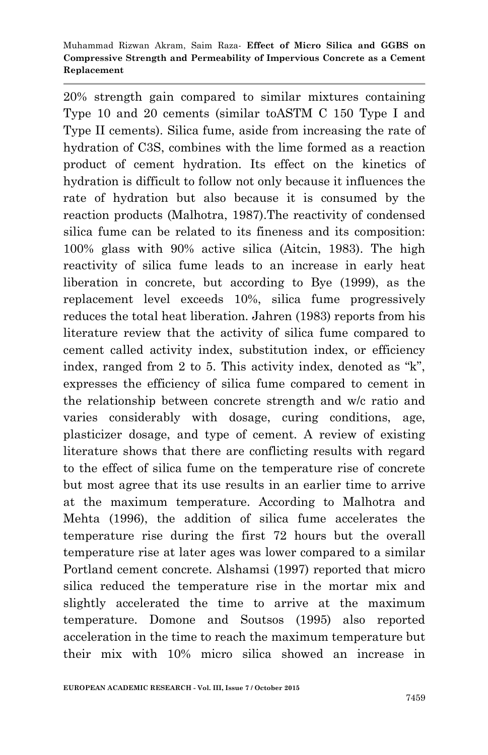20% strength gain compared to similar mixtures containing Type 10 and 20 cements (similar toASTM C 150 Type I and Type II cements). Silica fume, aside from increasing the rate of hydration of C3S, combines with the lime formed as a reaction product of cement hydration. Its effect on the kinetics of hydration is difficult to follow not only because it influences the rate of hydration but also because it is consumed by the reaction products (Malhotra, 1987).The reactivity of condensed silica fume can be related to its fineness and its composition: 100% glass with 90% active silica (Aitcin, 1983). The high reactivity of silica fume leads to an increase in early heat liberation in concrete, but according to Bye (1999), as the replacement level exceeds 10%, silica fume progressively reduces the total heat liberation. Jahren (1983) reports from his literature review that the activity of silica fume compared to cement called activity index, substitution index, or efficiency index, ranged from 2 to 5. This activity index, denoted as  $K$ , expresses the efficiency of silica fume compared to cement in the relationship between concrete strength and w/c ratio and varies considerably with dosage, curing conditions, age, plasticizer dosage, and type of cement. A review of existing literature shows that there are conflicting results with regard to the effect of silica fume on the temperature rise of concrete but most agree that its use results in an earlier time to arrive at the maximum temperature. According to Malhotra and Mehta (1996), the addition of silica fume accelerates the temperature rise during the first 72 hours but the overall temperature rise at later ages was lower compared to a similar Portland cement concrete. Alshamsi (1997) reported that micro silica reduced the temperature rise in the mortar mix and slightly accelerated the time to arrive at the maximum temperature. Domone and Soutsos (1995) also reported acceleration in the time to reach the maximum temperature but their mix with 10% micro silica showed an increase in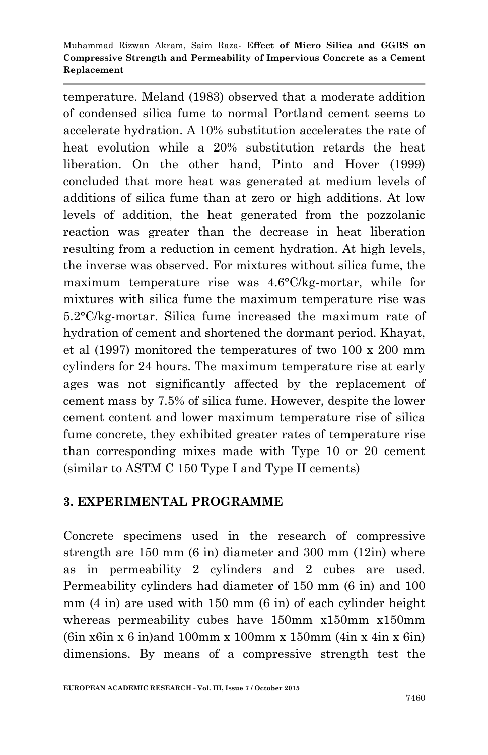temperature. Meland (1983) observed that a moderate addition of condensed silica fume to normal Portland cement seems to accelerate hydration. A 10% substitution accelerates the rate of heat evolution while a 20% substitution retards the heat liberation. On the other hand, Pinto and Hover (1999) concluded that more heat was generated at medium levels of additions of silica fume than at zero or high additions. At low levels of addition, the heat generated from the pozzolanic reaction was greater than the decrease in heat liberation resulting from a reduction in cement hydration. At high levels, the inverse was observed. For mixtures without silica fume, the maximum temperature rise was 4.6°C/kg-mortar, while for mixtures with silica fume the maximum temperature rise was 5.2°C/kg-mortar. Silica fume increased the maximum rate of hydration of cement and shortened the dormant period. Khayat, et al (1997) monitored the temperatures of two 100 x 200 mm cylinders for 24 hours. The maximum temperature rise at early ages was not significantly affected by the replacement of cement mass by 7.5% of silica fume. However, despite the lower cement content and lower maximum temperature rise of silica fume concrete, they exhibited greater rates of temperature rise than corresponding mixes made with Type 10 or 20 cement (similar to ASTM C 150 Type I and Type II cements)

### **3. EXPERIMENTAL PROGRAMME**

Concrete specimens used in the research of compressive strength are 150 mm (6 in) diameter and 300 mm (12in) where as in permeability 2 cylinders and 2 cubes are used. Permeability cylinders had diameter of 150 mm (6 in) and 100 mm (4 in) are used with 150 mm (6 in) of each cylinder height whereas permeability cubes have 150mm x150mm x150mm  $(6in x6in x 6 in)$  and 100mm x 100mm x 150mm  $(4in x 4in x 6in)$ dimensions. By means of a compressive strength test the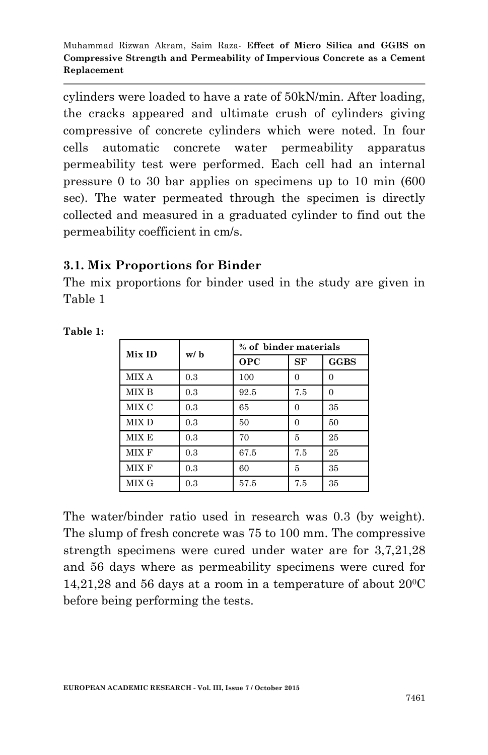cylinders were loaded to have a rate of 50kN/min. After loading, the cracks appeared and ultimate crush of cylinders giving compressive of concrete cylinders which were noted. In four cells automatic concrete water permeability apparatus permeability test were performed. Each cell had an internal pressure 0 to 30 bar applies on specimens up to 10 min (600 sec). The water permeated through the specimen is directly collected and measured in a graduated cylinder to find out the permeability coefficient in cm/s.

### **3.1. Mix Proportions for Binder**

The mix proportions for binder used in the study are given in Table 1

| Mix ID | w/b | % of binder materials |          |             |
|--------|-----|-----------------------|----------|-------------|
|        |     | <b>OPC</b>            | SF       | <b>GGBS</b> |
| MIX A  | 0.3 | 100                   | $\Omega$ | $\Omega$    |
| MIX B  | 0.3 | 92.5                  | 7.5      | $\theta$    |
| MIX C  | 0.3 | 65                    | $\Omega$ | 35          |
| MIX D  | 0.3 | 50                    | $\Omega$ | 50          |
| MIX E  | 0.3 | 70                    | 5        | 25          |
| MIX F  | 0.3 | 67.5                  | 7.5      | 25          |
| MIX F  | 0.3 | 60                    | 5        | 35          |
| MIX G  | 0.3 | 57.5                  | 7.5      | 35          |

**Table 1:**

The water/binder ratio used in research was 0.3 (by weight). The slump of fresh concrete was 75 to 100 mm. The compressive strength specimens were cured under water are for 3,7,21,28 and 56 days where as permeability specimens were cured for  $14,21,28$  and 56 days at a room in a temperature of about  $20^{\circ}$ C before being performing the tests.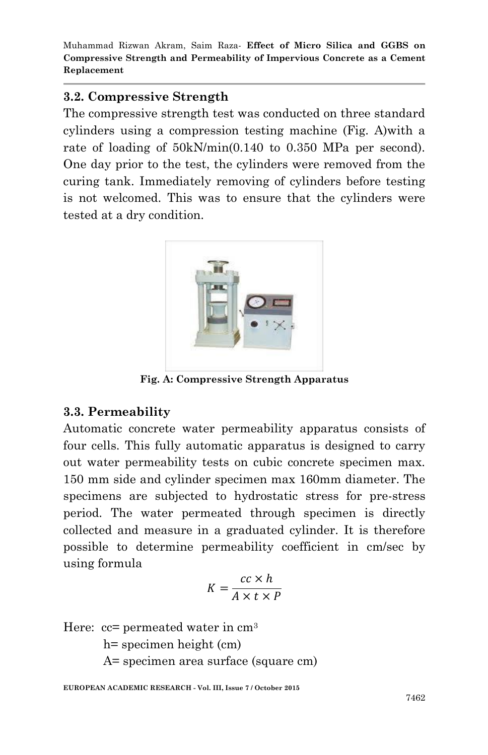### **3.2. Compressive Strength**

The compressive strength test was conducted on three standard cylinders using a compression testing machine (Fig. A)with a rate of loading of 50kN/min(0.140 to 0.350 MPa per second). One day prior to the test, the cylinders were removed from the curing tank. Immediately removing of cylinders before testing is not welcomed. This was to ensure that the cylinders were tested at a dry condition.



**Fig. A: Compressive Strength Apparatus**

### **3.3. Permeability**

Automatic concrete water permeability apparatus consists of four cells. This fully automatic apparatus is designed to carry out water permeability tests on cubic concrete specimen max. 150 mm side and cylinder specimen max 160mm diameter. The specimens are subjected to hydrostatic stress for pre-stress period. The water permeated through specimen is directly collected and measure in a graduated cylinder. It is therefore possible to determine permeability coefficient in cm/sec by using formula

$$
K = \frac{cc \times h}{A \times t \times P}
$$

Here: 
$$
cc
$$
 = permeated water in cm<sup>3</sup>

h= specimen height (cm)

A= specimen area surface (square cm)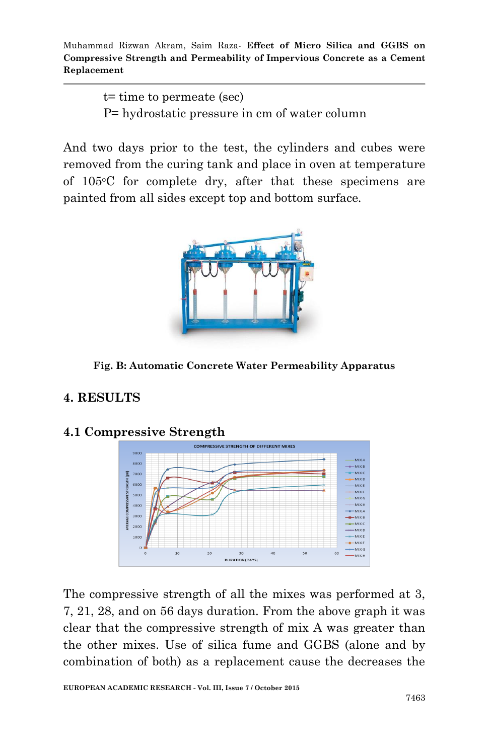> t= time to permeate (sec) P= hydrostatic pressure in cm of water column

And two days prior to the test, the cylinders and cubes were removed from the curing tank and place in oven at temperature of 105oC for complete dry, after that these specimens are painted from all sides except top and bottom surface.



**Fig. B: Automatic Concrete Water Permeability Apparatus**

# **4. RESULTS**



#### **4.1 Compressive Strength**

The compressive strength of all the mixes was performed at 3, 7, 21, 28, and on 56 days duration. From the above graph it was clear that the compressive strength of mix A was greater than the other mixes. Use of silica fume and GGBS (alone and by combination of both) as a replacement cause the decreases the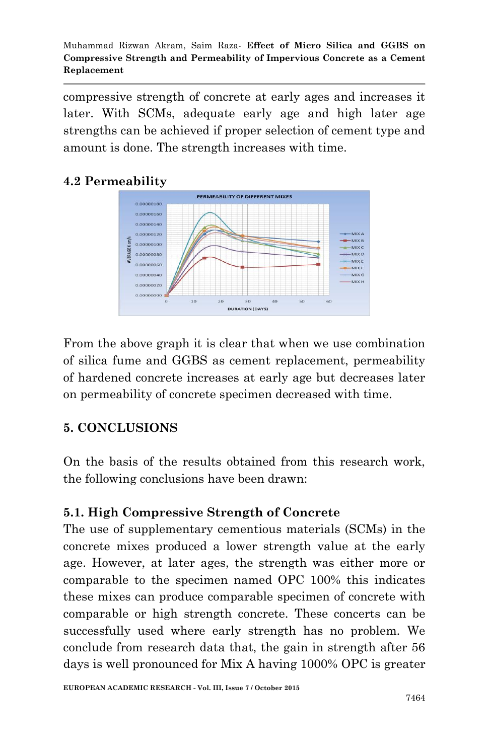compressive strength of concrete at early ages and increases it later. With SCMs, adequate early age and high later age strengths can be achieved if proper selection of cement type and amount is done. The strength increases with time.

# **4.2 Permeability**



From the above graph it is clear that when we use combination of silica fume and GGBS as cement replacement, permeability of hardened concrete increases at early age but decreases later on permeability of concrete specimen decreased with time.

### **5. CONCLUSIONS**

On the basis of the results obtained from this research work, the following conclusions have been drawn:

### **5.1. High Compressive Strength of Concrete**

The use of supplementary cementious materials (SCMs) in the concrete mixes produced a lower strength value at the early age. However, at later ages, the strength was either more or comparable to the specimen named OPC 100% this indicates these mixes can produce comparable specimen of concrete with comparable or high strength concrete. These concerts can be successfully used where early strength has no problem. We conclude from research data that, the gain in strength after 56 days is well pronounced for Mix A having 1000% OPC is greater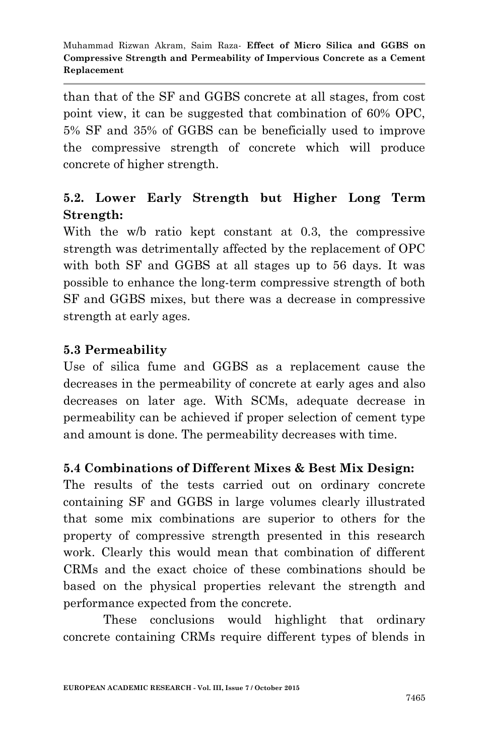than that of the SF and GGBS concrete at all stages, from cost point view, it can be suggested that combination of 60% OPC, 5% SF and 35% of GGBS can be beneficially used to improve the compressive strength of concrete which will produce concrete of higher strength.

# **5.2. Lower Early Strength but Higher Long Term Strength:**

With the w/b ratio kept constant at 0.3, the compressive strength was detrimentally affected by the replacement of OPC with both SF and GGBS at all stages up to 56 days. It was possible to enhance the long-term compressive strength of both SF and GGBS mixes, but there was a decrease in compressive strength at early ages.

# **5.3 Permeability**

Use of silica fume and GGBS as a replacement cause the decreases in the permeability of concrete at early ages and also decreases on later age. With SCMs, adequate decrease in permeability can be achieved if proper selection of cement type and amount is done. The permeability decreases with time.

# **5.4 Combinations of Different Mixes & Best Mix Design:**

The results of the tests carried out on ordinary concrete containing SF and GGBS in large volumes clearly illustrated that some mix combinations are superior to others for the property of compressive strength presented in this research work. Clearly this would mean that combination of different CRMs and the exact choice of these combinations should be based on the physical properties relevant the strength and performance expected from the concrete.

These conclusions would highlight that ordinary concrete containing CRMs require different types of blends in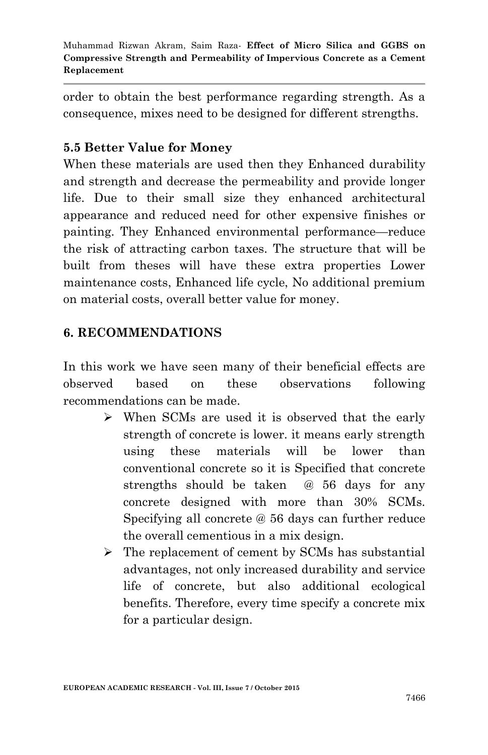order to obtain the best performance regarding strength. As a consequence, mixes need to be designed for different strengths.

# **5.5 Better Value for Money**

When these materials are used then they Enhanced durability and strength and decrease the permeability and provide longer life. Due to their small size they enhanced architectural appearance and reduced need for other expensive finishes or painting. They Enhanced environmental performance—reduce the risk of attracting carbon taxes. The structure that will be built from theses will have these extra properties Lower maintenance costs, Enhanced life cycle, No additional premium on material costs, overall better value for money.

# **6. RECOMMENDATIONS**

In this work we have seen many of their beneficial effects are observed based on these observations following recommendations can be made.

- When SCMs are used it is observed that the early strength of concrete is lower. it means early strength using these materials will be lower than conventional concrete so it is Specified that concrete strengths should be taken @ 56 days for any concrete designed with more than 30% SCMs. Specifying all concrete @ 56 days can further reduce the overall cementious in a mix design.
- $\triangleright$  The replacement of cement by SCMs has substantial advantages, not only increased durability and service life of concrete, but also additional ecological benefits. Therefore, every time specify a concrete mix for a particular design.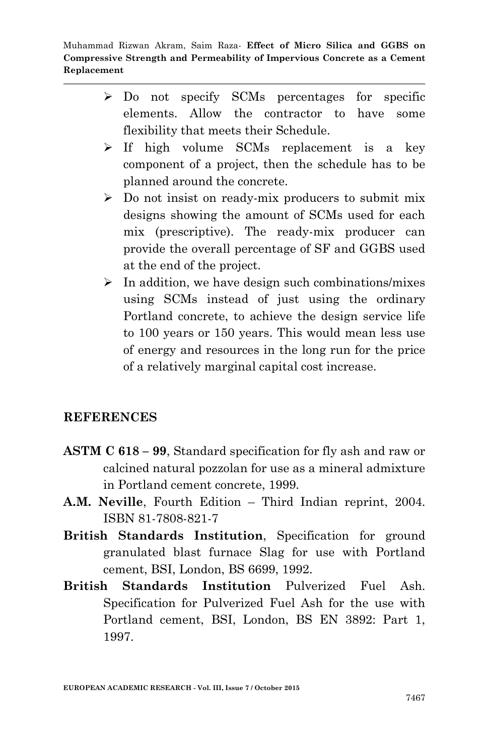- > Do not specify SCMs percentages for specific elements. Allow the contractor to have some flexibility that meets their Schedule.
- $\triangleright$  If high volume SCMs replacement is a key component of a project, then the schedule has to be planned around the concrete.
- $\triangleright$  Do not insist on ready-mix producers to submit mix designs showing the amount of SCMs used for each mix (prescriptive). The ready-mix producer can provide the overall percentage of SF and GGBS used at the end of the project.
- $\triangleright$  In addition, we have design such combinations/mixes using SCMs instead of just using the ordinary Portland concrete, to achieve the design service life to 100 years or 150 years. This would mean less use of energy and resources in the long run for the price of a relatively marginal capital cost increase.

#### **REFERENCES**

- **ASTM C 618 – 99**, Standard specification for fly ash and raw or calcined natural pozzolan for use as a mineral admixture in Portland cement concrete, 1999.
- **A.M. Neville**, Fourth Edition Third Indian reprint, 2004. ISBN 81-7808-821-7
- **British Standards Institution**, Specification for ground granulated blast furnace Slag for use with Portland cement, BSI, London, BS 6699, 1992.
- **British Standards Institution** Pulverized Fuel Ash. Specification for Pulverized Fuel Ash for the use with Portland cement, BSI, London, BS EN 3892: Part 1, 1997.